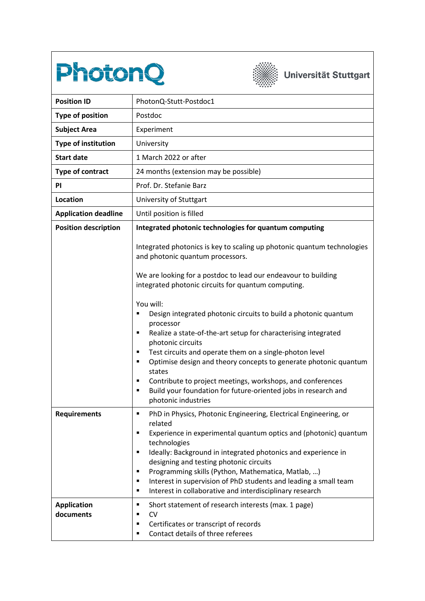



## Universität Stuttgart

| <b>Position ID</b>              | PhotonQ-Stutt-Postdoc1                                                                                                                                                                                                                                                                                                                                                                                                                                                                                    |
|---------------------------------|-----------------------------------------------------------------------------------------------------------------------------------------------------------------------------------------------------------------------------------------------------------------------------------------------------------------------------------------------------------------------------------------------------------------------------------------------------------------------------------------------------------|
| <b>Type of position</b>         | Postdoc                                                                                                                                                                                                                                                                                                                                                                                                                                                                                                   |
| <b>Subject Area</b>             | Experiment                                                                                                                                                                                                                                                                                                                                                                                                                                                                                                |
| <b>Type of institution</b>      | University                                                                                                                                                                                                                                                                                                                                                                                                                                                                                                |
| <b>Start date</b>               | 1 March 2022 or after                                                                                                                                                                                                                                                                                                                                                                                                                                                                                     |
| <b>Type of contract</b>         | 24 months (extension may be possible)                                                                                                                                                                                                                                                                                                                                                                                                                                                                     |
| <b>PI</b>                       | Prof. Dr. Stefanie Barz                                                                                                                                                                                                                                                                                                                                                                                                                                                                                   |
| Location                        | University of Stuttgart                                                                                                                                                                                                                                                                                                                                                                                                                                                                                   |
| <b>Application deadline</b>     | Until position is filled                                                                                                                                                                                                                                                                                                                                                                                                                                                                                  |
| <b>Position description</b>     | Integrated photonic technologies for quantum computing                                                                                                                                                                                                                                                                                                                                                                                                                                                    |
|                                 | Integrated photonics is key to scaling up photonic quantum technologies<br>and photonic quantum processors.                                                                                                                                                                                                                                                                                                                                                                                               |
|                                 | We are looking for a postdoc to lead our endeavour to building<br>integrated photonic circuits for quantum computing.                                                                                                                                                                                                                                                                                                                                                                                     |
|                                 | You will:<br>Design integrated photonic circuits to build a photonic quantum<br>processor<br>Realize a state-of-the-art setup for characterising integrated<br>٠<br>photonic circuits<br>Test circuits and operate them on a single-photon level<br>٠<br>Optimise design and theory concepts to generate photonic quantum<br>٠<br>states<br>Contribute to project meetings, workshops, and conferences<br>٠<br>Build your foundation for future-oriented jobs in research and<br>٠<br>photonic industries |
| <b>Requirements</b>             | PhD in Physics, Photonic Engineering, Electrical Engineering, or<br>related<br>Experience in experimental quantum optics and (photonic) quantum<br>٠<br>technologies<br>Ideally: Background in integrated photonics and experience in<br>٠<br>designing and testing photonic circuits<br>Programming skills (Python, Mathematica, Matlab, )<br>٠<br>Interest in supervision of PhD students and leading a small team<br>٠<br>Interest in collaborative and interdisciplinary research<br>٠                |
| <b>Application</b><br>documents | Short statement of research interests (max. 1 page)<br>٠<br>CV<br>٠<br>Certificates or transcript of records<br>п<br>Contact details of three referees<br>٠                                                                                                                                                                                                                                                                                                                                               |